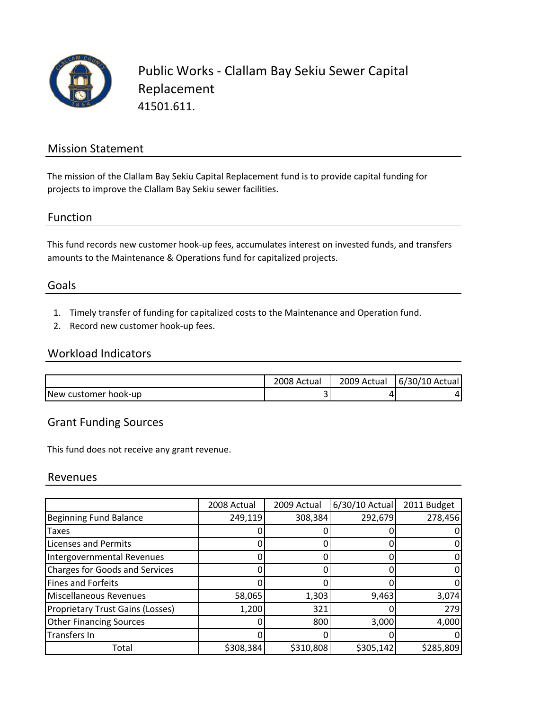

## Mission Statement

The mission of the Clallam Bay Sekiu Capital Replacement fund is to provide capital funding for projects to improve the Clallam Bay Sekiu sewer facilities.

### Function

This fund records new customer hook‐up fees, accumulates interest on invested funds, and transfers amounts to the Maintenance & Operations fund for capitalized projects.

#### Goals

- 1. Timely transfer of funding for capitalized costs to the Maintenance and Operation fund.
- 2. Record new customer hook‐up fees.

#### Workload Indicators

|                      | 2008 Actual | 2009 Actual | 6/30/10 Actual |
|----------------------|-------------|-------------|----------------|
| New customer hook-up |             | 4           |                |

## Grant Funding Sources

This fund does not receive any grant revenue.

#### Revenues

|                                         | 2008 Actual | 2009 Actual | 6/30/10 Actual | 2011 Budget |
|-----------------------------------------|-------------|-------------|----------------|-------------|
| <b>Beginning Fund Balance</b>           | 249,119     | 308,384     | 292,679        | 278,456     |
| Taxes                                   |             |             |                |             |
| <b>Licenses and Permits</b>             |             |             |                |             |
| Intergovernmental Revenues              | ი           |             |                |             |
| <b>Charges for Goods and Services</b>   |             |             |                |             |
| <b>Fines and Forfeits</b>               |             |             |                |             |
| Miscellaneous Revenues                  | 58,065      | 1,303       | 9,463          | 3,074       |
| <b>Proprietary Trust Gains (Losses)</b> | 1,200       | 321         |                | 279         |
| <b>Other Financing Sources</b>          |             | 800         | 3,000          | 4,000       |
| <b>Transfers In</b>                     |             | 0           |                |             |
| Total                                   | \$308,384   | \$310,808   | \$305,142      | \$285,809   |